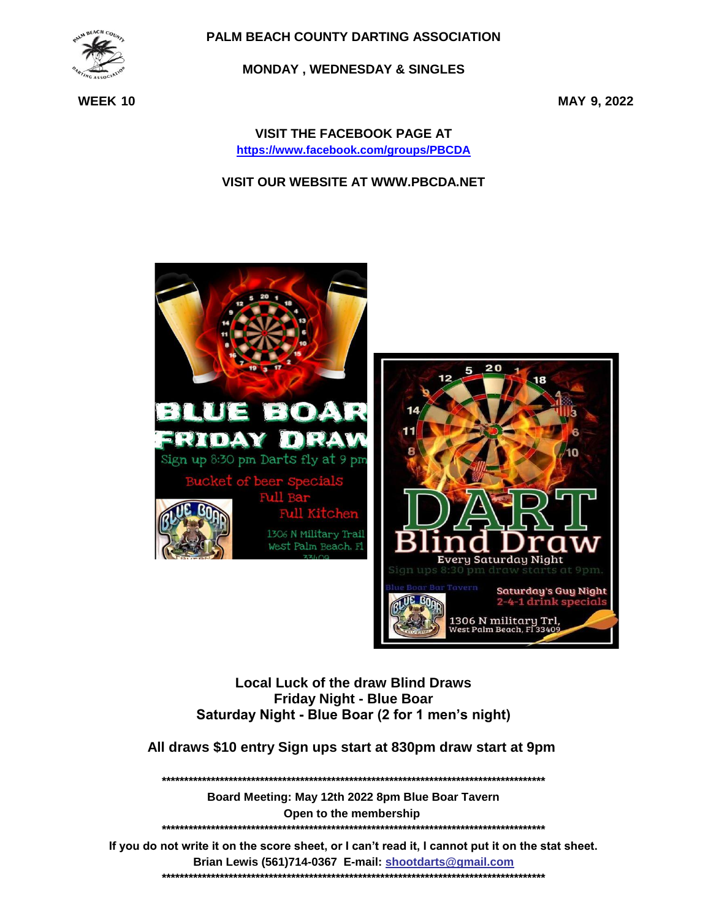

**MONDAY, WEDNESDAY & SINGLES** 

**WEEK 10** 

MAY 9, 2022

**VISIT THE FACEBOOK PAGE AT** https://www.facebook.com/groups/PBCDA

**VISIT OUR WEBSITE AT WWW.PBCDA.NET** 



**Local Luck of the draw Blind Draws Friday Night - Blue Boar** Saturday Night - Blue Boar (2 for 1 men's night)

All draws \$10 entry Sign ups start at 830pm draw start at 9pm

Board Meeting: May 12th 2022 8pm Blue Boar Tavern Open to the membership 

If you do not write it on the score sheet, or I can't read it, I cannot put it on the stat sheet. Brian Lewis (561)714-0367 E-mail: shootdarts@gmail.com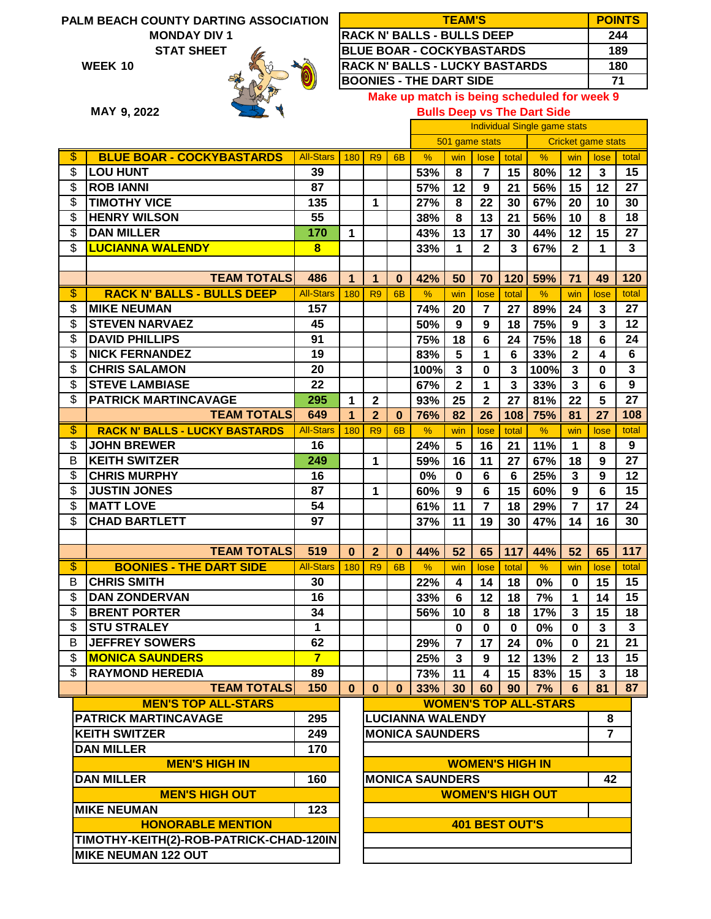**MONDAY DIV 1**

**10 WEEK**



| <b>TEAM'S</b>                         | <b>POINTS</b> |
|---------------------------------------|---------------|
| <b>RACK N' BALLS - BULLS DEEP</b>     | 244           |
| <b>BLUE BOAR - COCKYBASTARDS</b>      | 189           |
| <b>RACK N' BALLS - LUCKY BASTARDS</b> | 180           |
| <b>BOONIES - THE DART SIDE</b>        | 71            |
|                                       |               |

**9, 2022 MAY**

|  | Make up match is being scheduled for week 9 |  |
|--|---------------------------------------------|--|
|  | <b>Bulls Deep vs The Dart Side</b>          |  |

| שוט <b>וויט זווי כא</b> עסטע פוווטכ |  |  |  |  |
|-------------------------------------|--|--|--|--|
|                                     |  |  |  |  |

|                          |                                         |                  |              |                              |                |                                             | <b>Individual Single game stats</b> |                         |                 |                              |                |                |                 |
|--------------------------|-----------------------------------------|------------------|--------------|------------------------------|----------------|---------------------------------------------|-------------------------------------|-------------------------|-----------------|------------------------------|----------------|----------------|-----------------|
|                          |                                         |                  |              |                              |                | 501 game stats<br><b>Cricket game stats</b> |                                     |                         |                 |                              |                |                |                 |
| \$                       | <b>BLUE BOAR - COCKYBASTARDS</b>        | <b>All-Stars</b> | 180          | R <sub>9</sub>               | 6 <sub>B</sub> | %                                           | win                                 | lose                    | total           | $\frac{9}{6}$                | win            | lose           | total           |
| \$                       | <b>LOU HUNT</b>                         | 39               |              |                              |                | 53%                                         | 8                                   | $\overline{7}$          | 15              | 80%                          | 12             | 3              | 15              |
| \$                       | <b>ROB IANNI</b>                        | 87               |              |                              |                | 57%                                         | 12                                  | 9                       | 21              | 56%                          | 15             | 12             | 27              |
| \$                       | <b>TIMOTHY VICE</b>                     | 135              |              | 1                            |                | 27%                                         | 8                                   | 22                      | 30              | 67%                          | 20             | 10             | 30              |
| \$                       | <b>HENRY WILSON</b>                     | 55               |              |                              |                | 38%                                         | 8                                   | 13                      | 21              | 56%                          | 10             | 8              | 18              |
| \$                       | <b>DAN MILLER</b>                       | 170              | $\mathbf{1}$ |                              |                | 43%                                         | 13                                  | 17                      | 30              | 44%                          | 12             | 15             | 27              |
| \$                       | <b>LUCIANNA WALENDY</b>                 | 8                |              |                              |                | 33%                                         | 1                                   | $\overline{\mathbf{2}}$ | 3               | 67%                          | $\mathbf{2}$   | 1              | $\mathbf{3}$    |
|                          |                                         |                  |              |                              |                |                                             |                                     |                         |                 |                              |                |                |                 |
|                          | <b>TEAM TOTALS</b>                      | 486              | $\mathbf{1}$ | 1                            | $\bf{0}$       | 42%                                         | 50                                  | 70                      | 120             | 59%                          | 71             | 49             | 120             |
| $\overline{\mathcal{S}}$ | <b>RACK N' BALLS - BULLS DEEP</b>       | <b>All-Stars</b> | 180          | R <sub>9</sub>               | 6 <sub>B</sub> | %                                           | win                                 | lose                    | total           | $\%$                         | win            | lose           | total           |
| \$                       | <b>MIKE NEUMAN</b>                      | 157              |              |                              |                | 74%                                         | 20                                  | $\overline{7}$          | 27              | 89%                          | 24             | 3              | 27              |
| \$                       | <b>STEVEN NARVAEZ</b>                   | 45               |              |                              |                | 50%                                         | 9                                   | 9                       | 18              | 75%                          | 9              | 3              | 12              |
| \$                       | <b>DAVID PHILLIPS</b>                   | 91               |              |                              |                | 75%                                         | 18                                  | $6\phantom{1}6$         | 24              | 75%                          | 18             | 6              | 24              |
| \$                       | <b>NICK FERNANDEZ</b>                   | 19               |              |                              |                | 83%                                         | 5                                   | 1                       | 6               | 33%                          | $\mathbf{2}$   | 4              | 6               |
| \$                       | <b>CHRIS SALAMON</b>                    | 20               |              |                              |                | 100%                                        | $\mathbf{3}$                        | $\mathbf 0$             | 3               | 100%                         | 3              | $\bf{0}$       | $\mathbf{3}$    |
| \$                       | <b>STEVE LAMBIASE</b>                   | 22               |              |                              |                | 67%                                         | $\mathbf{2}$                        | $\mathbf 1$             | 3               | 33%                          | 3              | 6              | 9               |
| \$                       | <b>PATRICK MARTINCAVAGE</b>             | 295              | $\mathbf{1}$ | $\overline{\mathbf{2}}$      |                | 93%                                         | 25                                  | $\overline{2}$          | 27              | 81%                          | 22             | 5              | 27              |
|                          | <b>TEAM TOTALS</b>                      | 649              | 1            | $\overline{2}$               | $\bf{0}$       | 76%                                         | 82                                  | 26                      | 108             | 75%                          | 81             | 27             | 108             |
| $\overline{\mathcal{S}}$ | <b>RACK N' BALLS - LUCKY BASTARDS</b>   | <b>All-Stars</b> | 180          | R <sub>9</sub>               | 6 <sub>B</sub> | %                                           | win                                 | lose                    | total           | $\frac{9}{6}$                | win            | lose           | total           |
| \$                       | <b>JOHN BREWER</b>                      | 16               |              |                              |                | 24%                                         | 5                                   | 16                      | 21              | 11%                          | 1              | 8              | 9               |
| B                        | <b>KEITH SWITZER</b>                    | 249              |              | 1                            |                | 59%                                         | 16                                  | 11                      | 27              | 67%                          | 18             | 9              | 27              |
| \$                       | <b>CHRIS MURPHY</b>                     | 16               |              |                              |                | 0%                                          | $\mathbf 0$                         | 6                       | 6               | 25%                          | 3              | 9              | 12              |
| \$                       | <b>JUSTIN JONES</b>                     | 87               |              | 1                            |                | 60%                                         | 9                                   | $6\phantom{1}6$         | 15              | 60%                          | 9              | 6              | 15              |
| \$                       | <b>MATT LOVE</b>                        | 54               |              |                              |                | 61%                                         | 11                                  | $\overline{7}$          | 18              | 29%                          | $\overline{7}$ | 17             | 24              |
| \$                       | <b>CHAD BARTLETT</b>                    | 97               |              |                              |                | 37%                                         | 11                                  | 19                      | 30              | 47%                          | 14             | 16             | 30              |
|                          |                                         |                  |              |                              |                |                                             |                                     |                         |                 |                              |                |                |                 |
|                          | <b>TEAM TOTALS</b>                      | 519              | $\bf{0}$     | $\overline{2}$               | $\bf{0}$       | 44%                                         | 52                                  | 65                      | 117             | 44%                          | 52             | 65             | 117             |
| \$                       | <b>BOONIES - THE DART SIDE</b>          | <b>All-Stars</b> | 180          | R <sub>9</sub>               | 6 <sub>B</sub> | %                                           | win                                 | lose                    | total           | %                            | win            | lose           | total           |
| В                        | <b>CHRIS SMITH</b>                      | 30               |              |                              |                | 22%                                         | 4                                   | 14                      | 18              | 0%                           | $\bf{0}$       | 15             | 15              |
| \$                       | <b>DAN ZONDERVAN</b>                    | 16               |              |                              |                | 33%                                         | 6                                   | 12                      | 18              | 7%                           | 1              | 14             | 15              |
| \$                       | <b>BRENT PORTER</b>                     | 34               |              |                              |                | 56%                                         | 10                                  | 8                       | 18              | 17%                          | 3              | 15             | 18              |
| \$                       | <b>STU STRALEY</b>                      | 1                |              |                              |                |                                             | $\mathbf 0$                         | $\mathbf 0$             | $\mathbf 0$     | 0%                           | $\mathbf 0$    | 3              | $\mathbf{3}$    |
| B                        | <b>JEFFREY SOWERS</b>                   | 62               |              |                              |                | 29%                                         | $\overline{7}$                      | 17                      | 24              | $0\%$                        | $\pmb{0}$      | 21             | $\overline{21}$ |
| \$                       | <b>MONICA SAUNDERS</b>                  | $\overline{7}$   |              |                              |                | 25%                                         | $\mathbf{3}$                        | 9                       | 12 <sup>°</sup> | 13%                          | $\mathbf{2}$   | 13             | 15              |
| \$                       | <b>RAYMOND HEREDIA</b>                  | 89               |              |                              |                | 73%                                         | 11                                  | $\overline{\mathbf{4}}$ | 15              | 83%                          | 15             | 3              | 18              |
|                          | <b>TEAM TOTALS</b>                      | 150              | $\bf{0}$     | $\bf{0}$                     | $\bf{0}$       | 33%                                         | 30 <sup>°</sup>                     | 60                      | 90              | 7%                           | 6              | 81             | 87              |
|                          | <b>MEN'S TOP ALL-STARS</b>              |                  |              |                              |                |                                             |                                     |                         |                 | <b>WOMEN'S TOP ALL-STARS</b> |                |                |                 |
|                          | PATRICK MARTINCAVAGE                    | 295              |              |                              |                | <b>LUCIANNA WALENDY</b>                     |                                     |                         |                 |                              |                | 8              |                 |
|                          | <b>KEITH SWITZER</b>                    | 249              |              |                              |                |                                             |                                     |                         |                 |                              |                | $\overline{7}$ |                 |
|                          | <b>DAN MILLER</b>                       | 170              |              | <b>MONICA SAUNDERS</b>       |                |                                             |                                     |                         |                 |                              |                |                |                 |
|                          | <b>MEN'S HIGH IN</b>                    |                  |              |                              |                |                                             |                                     |                         |                 |                              |                |                |                 |
|                          | <b>DAN MILLER</b>                       | 160              |              | <b>WOMEN'S HIGH IN</b>       |                |                                             |                                     |                         |                 |                              |                |                |                 |
|                          |                                         |                  |              | <b>MONICA SAUNDERS</b><br>42 |                |                                             |                                     |                         |                 |                              |                |                |                 |
|                          | <b>MEN'S HIGH OUT</b>                   |                  |              | <b>WOMEN'S HIGH OUT</b>      |                |                                             |                                     |                         |                 |                              |                |                |                 |
|                          | <b>MIKE NEUMAN</b>                      | 123              |              |                              |                |                                             |                                     |                         |                 |                              |                |                |                 |
|                          | <b>HONORABLE MENTION</b>                |                  |              | <b>401 BEST OUT'S</b>        |                |                                             |                                     |                         |                 |                              |                |                |                 |
|                          | TIMOTHY-KEITH(2)-ROB-PATRICK-CHAD-120IN |                  |              |                              |                |                                             |                                     |                         |                 |                              |                |                |                 |
|                          | <b>MIKE NEUMAN 122 OUT</b>              |                  |              |                              |                |                                             |                                     |                         |                 |                              |                |                |                 |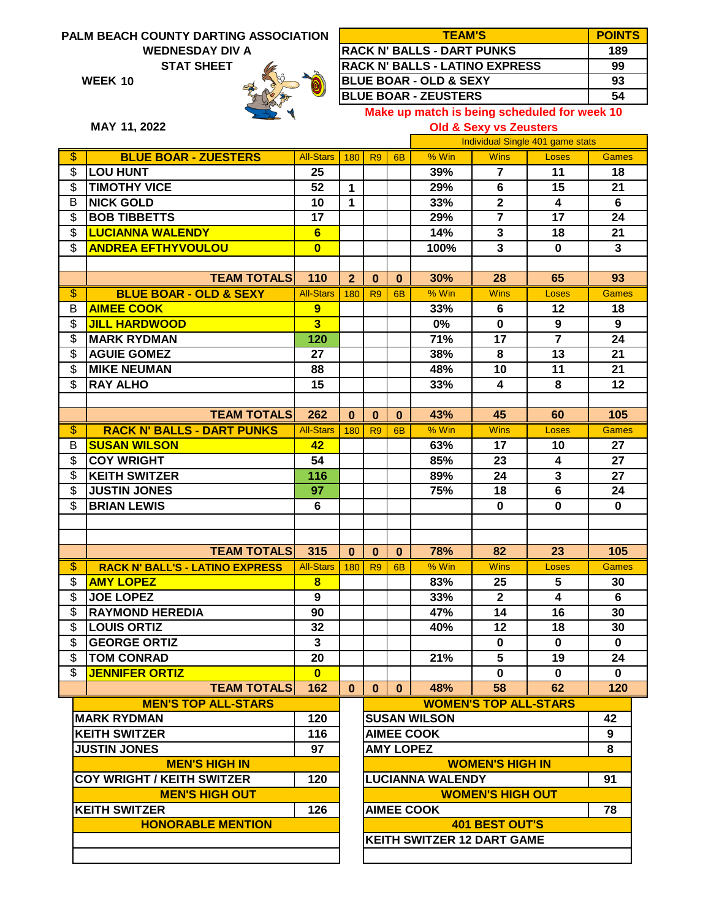## **PALM BEACH COUNTY DARTING ASSOCIATION STAT SHEET 99 WEDNESDAY DIV A**

**BLUE BOAR - ZUESTERS**

**10 WEEK**



180 R9 6B

**33%**

**29%**

**39%**

% Win

**1 1**

All-Stars

**25**

**52**

**10**

**126**

**KEITH SWITZER**

\$ \$

\$ \$ \$ \$

\$ \$

\$

\$

B

\$

\$ \$

\$ B \$ \$ \$

\$

\$

\$

B

\$ \$

\$ \$

 **MEN'S HIGH OUT**

**HONORABLE MENTION**

| <b>TEAM'S</b>                                | <b>POINTS</b> |
|----------------------------------------------|---------------|
| <b>RACK N' BALLS - DART PUNKS</b>            | 189           |
| <b>RACK N' BALLS - LATINO EXPRESS</b>        | 99            |
| <b>BLUE BOAR - OLD &amp; SEXY</b>            | 93            |
| <b>BLUE BOAR - ZEUSTERS</b>                  | 54            |
| Make up match is being scheduled for week 10 |               |

**Old & Sexy vs Zeusters**

**7**

**Wins** 

Individual Single 401 game stats

**6**

**2**

**11**

**15**

**4**

Loses Games

**21**

**18**

**6**

**MAY 11, 2022**

**LOU HUNT**

\$ **TIMOTHY VICE**

**NICK GOLD**

| <b>BOB TIBBETTS</b>                    | 17                      |                |                               |                  | 29%                 | $\overline{7}$               | 17                      | 24              |  |
|----------------------------------------|-------------------------|----------------|-------------------------------|------------------|---------------------|------------------------------|-------------------------|-----------------|--|
| <b>LUCIANNA WALENDY</b>                | 6                       |                |                               |                  | 14%                 | 3                            | 18                      | 21              |  |
| <b>ANDREA EFTHYVOULOU</b>              | $\bf{0}$                |                |                               |                  | 100%                | $\mathbf{3}$                 | $\mathbf{0}$            | 3               |  |
|                                        |                         |                |                               |                  |                     |                              |                         |                 |  |
| <b>TEAM TOTALS</b>                     | 110                     | $\overline{2}$ | $\bf{0}$                      | $\mathbf{0}$     | 30%                 | 28                           | 65                      | 93              |  |
| <b>BLUE BOAR - OLD &amp; SEXY</b>      | <b>All-Stars</b>        | 180            | R <sub>9</sub>                | 6 <sub>B</sub>   | % Win               | <b>Wins</b>                  | <b>Loses</b>            | <b>Games</b>    |  |
| <b>AIMEE COOK</b>                      | 9                       |                |                               |                  | 33%                 | 6                            | 12                      | 18              |  |
| <b>JILL HARDWOOD</b>                   | $\overline{\mathbf{3}}$ |                |                               |                  | 0%                  | $\bf{0}$                     | 9                       | 9               |  |
| <b>MARK RYDMAN</b>                     | 120                     |                |                               |                  | 71%                 | 17                           | $\overline{7}$          | 24              |  |
| <b>AGUIE GOMEZ</b>                     | 27                      |                |                               |                  | 38%                 | 8                            | 13                      | 21              |  |
| <b>MIKE NEUMAN</b>                     | 88                      |                |                               |                  | 48%                 | $\overline{10}$              | $\overline{11}$         | $\overline{21}$ |  |
| <b>RAY ALHO</b>                        | 15                      |                |                               |                  | 33%                 | 4                            | 8                       | 12              |  |
|                                        |                         |                |                               |                  |                     |                              |                         |                 |  |
| <b>TEAM TOTALS</b>                     | 262                     | $\bf{0}$       | $\bf{0}$                      | $\mathbf{0}$     | 43%                 | 45                           | 60                      | 105             |  |
| <b>RACK N' BALLS - DART PUNKS</b>      | <b>All-Stars</b>        | 180            | R <sub>9</sub>                | <b>6B</b>        | % Win               | <b>Wins</b>                  | Loses                   | <b>Games</b>    |  |
| <b>SUSAN WILSON</b>                    | 42                      |                |                               |                  | 63%                 | 17                           | 10                      | 27              |  |
| <b>COY WRIGHT</b>                      | 54                      |                |                               |                  | 85%                 | 23                           | 4                       | 27              |  |
| <b>KEITH SWITZER</b>                   | 116                     |                |                               |                  | 89%                 | 24                           | $\overline{\mathbf{3}}$ | 27              |  |
| <b>JUSTIN JONES</b>                    | 97                      |                |                               |                  | 75%                 | 18                           | $\overline{6}$          | 24              |  |
| <b>BRIAN LEWIS</b>                     | 6                       |                |                               |                  |                     | $\bf{0}$                     | $\bf{0}$                | 0               |  |
|                                        |                         |                |                               |                  |                     |                              |                         |                 |  |
|                                        |                         |                |                               |                  |                     |                              |                         |                 |  |
| <b>TEAM TOTALS</b>                     | 315                     | $\bf{0}$       | $\mathbf 0$                   | $\mathbf 0$      | 78%                 | 82                           | 23                      | 105             |  |
| <b>RACK N' BALL'S - LATINO EXPRESS</b> | <b>All-Stars</b>        | 180            | R <sub>9</sub>                | 6 <sub>B</sub>   | % Win               | <b>Wins</b>                  | Loses                   | <b>Games</b>    |  |
| <b>AMY LOPEZ</b>                       | $\overline{\mathbf{8}}$ |                |                               |                  | 83%                 | 25                           | 5                       | 30              |  |
| <b>JOE LOPEZ</b>                       | $\boldsymbol{9}$        |                |                               |                  | 33%                 | $\overline{2}$               | 4                       | 6               |  |
| <b>RAYMOND HEREDIA</b>                 | 90                      |                |                               |                  | 47%                 | 14                           | 16                      | 30              |  |
| <b>LOUIS ORTIZ</b>                     | 32                      |                |                               |                  | 40%                 | 12                           | 18                      | 30              |  |
| <b>GEORGE ORTIZ</b>                    | $\mathbf{3}$            |                |                               |                  |                     | $\mathbf 0$                  | $\mathbf 0$             | 0               |  |
| <b>TOM CONRAD</b>                      | 20                      |                |                               |                  | 21%                 | $\overline{5}$               | 19                      | 24              |  |
| <b>JENNIFER ORTIZ</b>                  | $\bf{0}$                |                |                               |                  |                     | $\bf{0}$                     | 0                       | 0               |  |
| <b>TEAM TOTALS</b>                     | 162                     | $\bf{0}$       | $\mathbf{0}$                  | $\mathbf{0}$     | 48%                 | 58                           | 62                      | 120             |  |
| <b>MEN'S TOP ALL-STARS</b>             |                         |                |                               |                  |                     | <b>WOMEN'S TOP ALL-STARS</b> |                         |                 |  |
| <b>MARK RYDMAN</b>                     | 120                     |                |                               |                  | <b>SUSAN WILSON</b> |                              |                         | 42              |  |
| <b>KEITH SWITZER</b>                   | 116                     |                | <b>AIMEE COOK</b>             |                  |                     |                              |                         |                 |  |
| <b>JUSTIN JONES</b>                    | 97                      |                |                               | <b>AMY LOPEZ</b> |                     |                              |                         | 8               |  |
| <b>MEN'S HIGH IN</b>                   |                         |                |                               |                  |                     | <b>WOMEN'S HIGH IN</b>       |                         |                 |  |
| <b>COY WRIGHT / KEITH SWITZER</b>      | 120                     |                | <b>LUCIANNA WALENDY</b><br>91 |                  |                     |                              |                         |                 |  |

**AIMEE COOK 78 WOMEN'S HIGH OUT KEITH SWITZER 12 DART GAME 401 BEST OUT'S**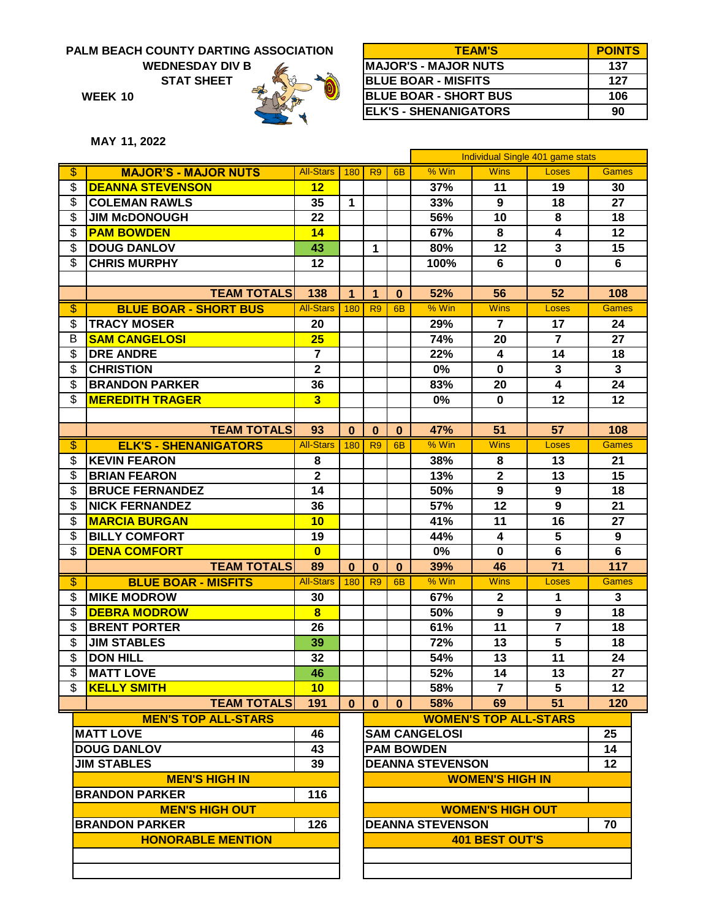**WEDNESDAY DIV B**

**STAT SHEET**



| <b>TEAM'S</b>                | <b>POINTS</b> |
|------------------------------|---------------|
| <b>MAJOR'S - MAJOR NUTS</b>  | 137           |
| <b>BLUE BOAR - MISFITS</b>   | 127           |
| <b>BLUE BOAR - SHORT BUS</b> | 106           |
| <b>ELK'S - SHENANIGATORS</b> | 90            |
|                              |               |

**MAY 11, 2022**

**10 WEEK**

|                          |                              |                         |              |                               |           |                      |                              | Individual Single 401 game stats |              |  |
|--------------------------|------------------------------|-------------------------|--------------|-------------------------------|-----------|----------------------|------------------------------|----------------------------------|--------------|--|
| $\overline{\mathcal{S}}$ | <b>MAJOR'S - MAJOR NUTS</b>  | <b>All-Stars</b>        | 180          | R <sub>9</sub>                | 6B        | % Win                | <b>Wins</b>                  | <b>Loses</b>                     | <b>Games</b> |  |
| \$                       | <b>DEANNA STEVENSON</b>      | 12                      |              |                               |           | 37%                  | 11                           | 19                               | 30           |  |
| \$                       | <b>COLEMAN RAWLS</b>         | 35                      | $\mathbf{1}$ |                               |           | 33%                  | 9                            | 18                               | 27           |  |
| \$                       | <b>JIM McDONOUGH</b>         | 22                      |              |                               |           | 56%                  | 10                           | 8                                | 18           |  |
| \$                       | <b>PAM BOWDEN</b>            | 14                      |              |                               |           | 67%                  | 8                            | $\overline{\mathbf{4}}$          | 12           |  |
| \$                       | <b>DOUG DANLOV</b>           | 43                      |              | $\mathbf{1}$                  |           | 80%                  | 12                           | $\overline{\mathbf{3}}$          | 15           |  |
| \$                       | <b>CHRIS MURPHY</b>          | 12                      |              |                               |           | 100%                 | 6                            | $\bf{0}$                         | 6            |  |
|                          |                              |                         |              |                               |           |                      |                              |                                  |              |  |
|                          | <b>TEAM TOTALS</b>           | 138                     | 1            | $\mathbf{1}$                  | $\bf{0}$  | 52%                  | 56                           | 52                               | 108          |  |
| $\overline{\mathcal{S}}$ | <b>BLUE BOAR - SHORT BUS</b> | <b>All-Stars</b>        | 180          | R <sub>9</sub>                | <b>6B</b> | $%$ Win              | <b>Wins</b>                  | Loses                            | <b>Games</b> |  |
| \$                       | <b>TRACY MOSER</b>           | 20                      |              |                               |           | 29%                  | $\overline{7}$               | 17                               | 24           |  |
| B                        | <b>SAM CANGELOSI</b>         | 25                      |              |                               |           | 74%                  | 20                           | $\overline{7}$                   | 27           |  |
| \$                       | <b>DRE ANDRE</b>             | $\overline{7}$          |              |                               |           | 22%                  | 4                            | 14                               | 18           |  |
| \$                       | <b>CHRISTION</b>             | $\mathbf{2}$            |              |                               |           | 0%                   | $\mathbf 0$                  | $\mathbf{3}$                     | $\mathbf{3}$ |  |
| \$                       | <b>BRANDON PARKER</b>        | 36                      |              |                               |           | 83%                  | 20                           | $\overline{4}$                   | 24           |  |
| \$                       | <b>MEREDITH TRAGER</b>       | $\overline{\mathbf{3}}$ |              |                               |           | 0%                   | $\bf{0}$                     | 12                               | 12           |  |
|                          |                              |                         |              |                               |           |                      |                              |                                  |              |  |
|                          | <b>TEAM TOTALS</b>           | 93                      | $\bf{0}$     | $\bf{0}$                      | $\bf{0}$  | 47%                  | 51                           | 57                               | 108          |  |
| \$                       | <b>ELK'S - SHENANIGATORS</b> | <b>All-Stars</b>        | 180          | R <sub>9</sub>                | <b>6B</b> | % Win                | <b>Wins</b>                  | Loses                            | <b>Games</b> |  |
| \$                       | <b>KEVIN FEARON</b>          | 8                       |              |                               |           | 38%                  | 8                            | 13                               | 21           |  |
| \$                       | <b>BRIAN FEARON</b>          | $\mathbf{2}$            |              |                               |           | 13%                  | $\mathbf{2}$                 | 13                               | 15           |  |
| \$                       | <b>BRUCE FERNANDEZ</b>       | 14                      |              |                               |           | 50%                  | 9                            | 9                                | 18           |  |
| \$                       | <b>NICK FERNANDEZ</b>        | 36                      |              |                               |           | 57%                  | 12                           | 9                                | 21           |  |
| \$                       | <b>MARCIA BURGAN</b>         | 10                      |              |                               |           | 41%                  | 11                           | 16                               | 27           |  |
| \$                       | <b>BILLY COMFORT</b>         | 19                      |              |                               |           | 44%                  | 4                            | $\overline{\mathbf{5}}$          | 9            |  |
| \$                       | <b>DENA COMFORT</b>          | $\mathbf{0}$            |              |                               |           | 0%                   | $\bf{0}$                     | $6\phantom{1}$                   | 6            |  |
|                          | <b>TEAM TOTALS</b>           | 89                      | $\bf{0}$     | $\bf{0}$                      | $\bf{0}$  | 39%                  | 46                           | 71                               | 117          |  |
| $\overline{\$}$          | <b>BLUE BOAR - MISFITS</b>   | <b>All-Stars</b>        | 180          | R <sub>9</sub>                | 6B        | % Win                | <b>Wins</b>                  | Loses                            | <b>Games</b> |  |
| \$                       | <b>MIKE MODROW</b>           | 30                      |              |                               |           | 67%                  | $\mathbf{2}$                 | 1                                | $\mathbf{3}$ |  |
| \$                       | <b>DEBRA MODROW</b>          | 8                       |              |                               |           | 50%                  | 9                            | 9                                | 18           |  |
| \$                       | <b>BRENT PORTER</b>          | 26                      |              |                               |           | 61%                  | 11                           | $\overline{7}$                   | 18           |  |
| \$                       | <b>JIM STABLES</b>           | 39                      |              |                               |           | 72%                  | 13                           | $\overline{\mathbf{5}}$          | 18           |  |
| \$                       | <b>DON HILL</b>              | 32                      |              |                               |           | 54%                  | 13                           | 11                               | 24           |  |
| \$                       | <b>MATT LOVE</b>             | 46                      |              |                               |           | 52%                  | 14                           | $\overline{13}$                  | 27           |  |
| \$                       | <b>KELLY SMITH</b>           | 10                      |              |                               |           | 58%                  | $\overline{7}$               | 5                                | $12 \,$      |  |
|                          | <b>TEAM TOTALS</b>           | 191                     | $\mathbf{0}$ | $\mathbf{0}$                  | $\bf{0}$  | 58%                  | 69                           | 51                               | 120          |  |
|                          | <b>MEN'S TOP ALL-STARS</b>   |                         |              |                               |           |                      | <b>WOMEN'S TOP ALL-STARS</b> |                                  |              |  |
|                          | <b>MATT LOVE</b>             | 46                      |              |                               |           | <b>SAM CANGELOSI</b> |                              |                                  | 25           |  |
|                          | <b>DOUG DANLOV</b>           | 43                      |              | <b>PAM BOWDEN</b><br>14       |           |                      |                              |                                  |              |  |
|                          | <b>JIM STABLES</b>           | 39                      |              | <b>DEANNA STEVENSON</b><br>12 |           |                      |                              |                                  |              |  |
|                          | <b>MEN'S HIGH IN</b>         |                         |              | <b>WOMEN'S HIGH IN</b>        |           |                      |                              |                                  |              |  |
|                          | <b>BRANDON PARKER</b>        | 116                     |              |                               |           |                      |                              |                                  |              |  |
|                          | <b>MEN'S HIGH OUT</b>        | <b>WOMEN'S HIGH OUT</b> |              |                               |           |                      |                              |                                  |              |  |
|                          | <b>BRANDON PARKER</b>        | 126                     |              | <b>DEANNA STEVENSON</b><br>70 |           |                      |                              |                                  |              |  |
|                          | <b>HONORABLE MENTION</b>     |                         |              |                               |           |                      | <b>401 BEST OUT'S</b>        |                                  |              |  |
|                          |                              |                         |              |                               |           |                      |                              |                                  |              |  |
|                          |                              |                         |              |                               |           |                      |                              |                                  |              |  |
|                          |                              |                         |              |                               |           |                      |                              |                                  |              |  |